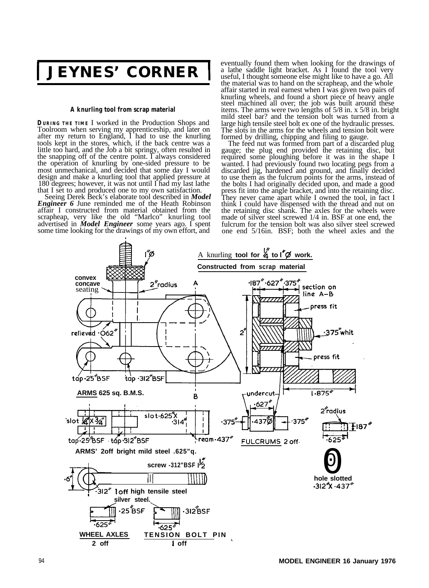**1 JEYNES' CORNER 1**

## **A knurling tool from scrap material**

**DURING THE TIME** I worked in the Production Shops and Toolroom when serving my apprenticeship, and later on after my return to England, I had to use the knurling tools kept in the stores, which, if the back centre was a little too hard, and the Job a bit springy, often resulted in the snapping off of the centre point. I always considered the operation of knurling by one-sided pressure to be most unmechanical, and decided that some day I would design and make a knurling tool that applied pressure at 180 degrees; however, it was not until  $\Gamma$  had my last lathe that I set to and produced one to my own satisfaction. Seeing Derek Beck's elaborate tool described in *Model*

*Engineer 6* June reminded me of the Heath Robinson affair I constructed from material obtained from the scrapheap, very like the old "Marlco" knurling tool advertised in *Model Engineer* some years ago. I spent some time looking for the drawings of my own effort, and

eventually found them when looking for the drawings of a lathe saddle light bracket. As I found the tool very useful, I thought someone else might like to have a go. All the material was to hand on the scrapheap, and the whole affair started in real earnest when I was given two pairs of knurling wheels, and found a short piece of heavy angle steel machined all over; the job was built around these items. The arms were two lengths of 5/8 in. x 5/8 in. bright mild steel bar? and the tension bolt was turned from a large high tensile steel bolt ex one of the hydraulic presses. The slots in the arms for the wheels and tension bolt were

formed by drilling, chipping and filing to gauge. The feed nut was formed from part of a discarded plug gauge; the plug end provided the retaining disc, but required some ploughing before it was in the shape I wanted. I had previously found two locating pegs from a discarded jig, hardened and ground, and finally decided to use them as the fulcrum points for the arms, instead of the bolts I had originally decided upon, and made a good press fit into the angle bracket, and into the retaining disc. They never came apart while I owned the tool, in fact I think I could have dispensed with the thread and nut on the retaining disc shank. The axles for the wheels were made of silver steel screwed 1/4 in. BSF at one end, the fulcrum for the tension bolt was also silver steel screwed one end 5/16in. BSF; both the wheel axles and the